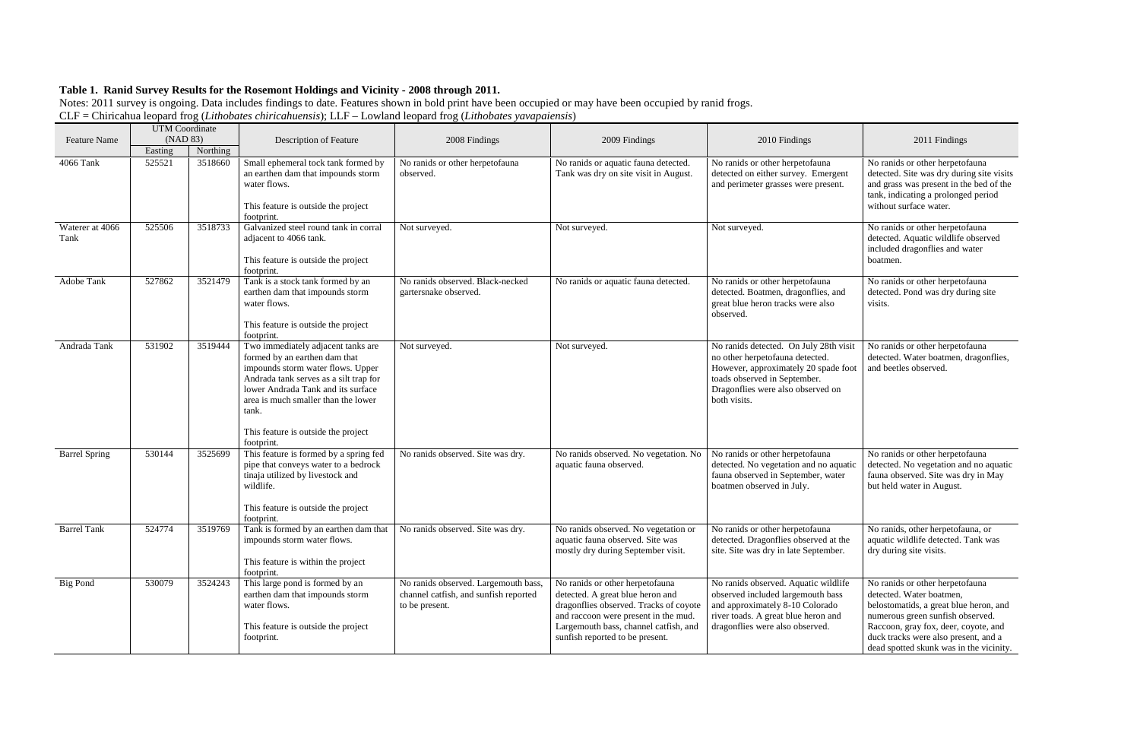|                         | <b>UTM</b> Coordinate |          |                                                                                                                                                                                                                                                                                               |                                                                                                 |                                                                                                                                                                                                                                   |                                                                                                                                                                                                        |                                                                                                                                                                                                                                                                      |
|-------------------------|-----------------------|----------|-----------------------------------------------------------------------------------------------------------------------------------------------------------------------------------------------------------------------------------------------------------------------------------------------|-------------------------------------------------------------------------------------------------|-----------------------------------------------------------------------------------------------------------------------------------------------------------------------------------------------------------------------------------|--------------------------------------------------------------------------------------------------------------------------------------------------------------------------------------------------------|----------------------------------------------------------------------------------------------------------------------------------------------------------------------------------------------------------------------------------------------------------------------|
| <b>Feature Name</b>     | (NAD 83)              |          | Description of Feature                                                                                                                                                                                                                                                                        | 2008 Findings                                                                                   | 2009 Findings                                                                                                                                                                                                                     | 2010 Findings                                                                                                                                                                                          | 2011 Findings                                                                                                                                                                                                                                                        |
|                         | Easting               | Northing |                                                                                                                                                                                                                                                                                               |                                                                                                 |                                                                                                                                                                                                                                   |                                                                                                                                                                                                        |                                                                                                                                                                                                                                                                      |
| 4066 Tank               | 525521                | 3518660  | Small ephemeral tock tank formed by<br>an earthen dam that impounds storm<br>water flows.<br>This feature is outside the project<br>footprint.                                                                                                                                                | No ranids or other herpetofauna<br>observed.                                                    | No ranids or aquatic fauna detected.<br>Tank was dry on site visit in August.                                                                                                                                                     | No ranids or other herpetofauna<br>detected on either survey. Emergent<br>and perimeter grasses were present.                                                                                          | No ranids or other herpetofauna<br>detected. Site was dry during site visits<br>and grass was present in the bed of the<br>tank, indicating a prolonged period<br>without surface water.                                                                             |
| Waterer at 4066<br>Tank | 525506                | 3518733  | Galvanized steel round tank in corral<br>adjacent to 4066 tank.<br>This feature is outside the project<br>footprint.                                                                                                                                                                          | Not surveyed.                                                                                   | Not surveyed.                                                                                                                                                                                                                     | Not surveyed.                                                                                                                                                                                          | No ranids or other herpetofauna<br>detected. Aquatic wildlife observed<br>included dragonflies and water<br>boatmen.                                                                                                                                                 |
| Adobe Tank              | 527862                | 3521479  | Tank is a stock tank formed by an<br>earthen dam that impounds storm<br>water flows.<br>This feature is outside the project<br>footprint.                                                                                                                                                     | No ranids observed. Black-necked<br>gartersnake observed.                                       | No ranids or aquatic fauna detected.                                                                                                                                                                                              | No ranids or other herpetofauna<br>detected. Boatmen, dragonflies, and<br>great blue heron tracks were also<br>observed.                                                                               | No ranids or other herpetofauna<br>detected. Pond was dry during site<br>visits.                                                                                                                                                                                     |
| Andrada Tank            | 531902                | 3519444  | Two immediately adjacent tanks are<br>formed by an earthen dam that<br>impounds storm water flows. Upper<br>Andrada tank serves as a silt trap for<br>lower Andrada Tank and its surface<br>area is much smaller than the lower<br>tank.<br>This feature is outside the project<br>footprint. | Not surveyed.                                                                                   | Not surveyed.                                                                                                                                                                                                                     | No ranids detected. On July 28th visit<br>no other herpetofauna detected.<br>However, approximately 20 spade foot<br>toads observed in September.<br>Dragonflies were also observed on<br>both visits. | No ranids or other herpetofauna<br>detected. Water boatmen, dragonflies,<br>and beetles observed.                                                                                                                                                                    |
| <b>Barrel Spring</b>    | 530144                | 3525699  | This feature is formed by a spring fed<br>pipe that conveys water to a bedrock<br>tinaja utilized by livestock and<br>wildlife.<br>This feature is outside the project<br>footprint.                                                                                                          | No ranids observed. Site was dry.                                                               | No ranids observed. No vegetation. No<br>aquatic fauna observed.                                                                                                                                                                  | No ranids or other herpetofauna<br>detected. No vegetation and no aquatic<br>fauna observed in September, water<br>boatmen observed in July.                                                           | No ranids or other herpetofauna<br>detected. No vegetation and no aquatic<br>fauna observed. Site was dry in May<br>but held water in August.                                                                                                                        |
| <b>Barrel Tank</b>      | 524774                | 3519769  | Tank is formed by an earthen dam that<br>impounds storm water flows.<br>This feature is within the project<br>footprint.                                                                                                                                                                      | No ranids observed. Site was dry.                                                               | No ranids observed. No vegetation or<br>aquatic fauna observed. Site was<br>mostly dry during September visit.                                                                                                                    | No ranids or other herpetofauna<br>detected. Dragonflies observed at the<br>site. Site was dry in late September.                                                                                      | No ranids, other herpetofauna, or<br>aquatic wildlife detected. Tank was<br>dry during site visits.                                                                                                                                                                  |
| <b>Big Pond</b>         | 530079                | 3524243  | This large pond is formed by an<br>earthen dam that impounds storm<br>water flows.<br>This feature is outside the project<br>footprint.                                                                                                                                                       | No ranids observed. Largemouth bass,<br>channel catfish, and sunfish reported<br>to be present. | No ranids or other herpetofauna<br>detected. A great blue heron and<br>dragonflies observed. Tracks of coyote<br>and raccoon were present in the mud.<br>Largemouth bass, channel catfish, and<br>sunfish reported to be present. | No ranids observed. Aquatic wildlife<br>observed included largemouth bass<br>and approximately 8-10 Colorado<br>river toads. A great blue heron and<br>dragonflies were also observed.                 | No ranids or other herpetofauna<br>detected. Water boatmen,<br>belostomatids, a great blue heron, and<br>numerous green sunfish observed.<br>Raccoon, gray fox, deer, coyote, and<br>duck tracks were also present, and a<br>dead spotted skunk was in the vicinity. |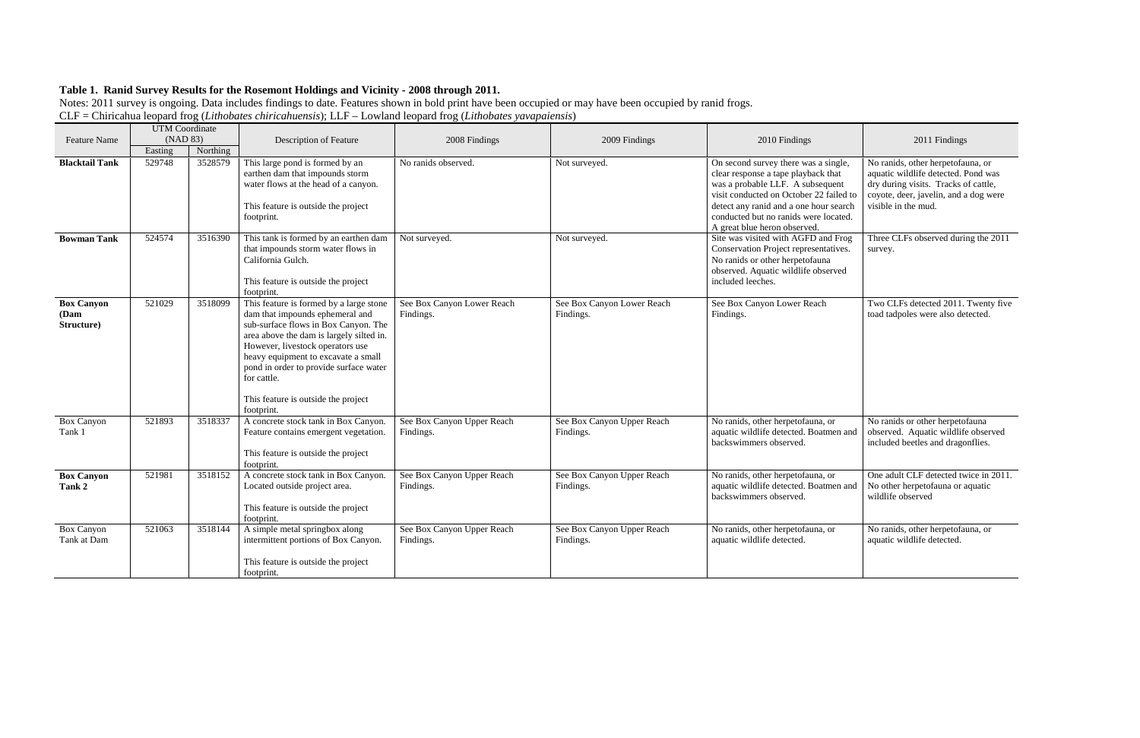|                                         | <b>UTM</b> Coordinate |          |                                                                                                                                                                                                                                                                                                                                                         |                                         |                                         |                                                                                                                                                                                                                                                                               |                                                                                                                                                                                  |
|-----------------------------------------|-----------------------|----------|---------------------------------------------------------------------------------------------------------------------------------------------------------------------------------------------------------------------------------------------------------------------------------------------------------------------------------------------------------|-----------------------------------------|-----------------------------------------|-------------------------------------------------------------------------------------------------------------------------------------------------------------------------------------------------------------------------------------------------------------------------------|----------------------------------------------------------------------------------------------------------------------------------------------------------------------------------|
| <b>Feature Name</b>                     | (NAD 83)<br>Easting   | Northing | Description of Feature                                                                                                                                                                                                                                                                                                                                  | 2008 Findings                           | 2009 Findings                           | 2010 Findings                                                                                                                                                                                                                                                                 | 2011 Findings                                                                                                                                                                    |
| <b>Blacktail Tank</b>                   | 529748                | 3528579  | This large pond is formed by an<br>earthen dam that impounds storm<br>water flows at the head of a canyon.<br>This feature is outside the project<br>footprint.                                                                                                                                                                                         | No ranids observed.                     | Not surveyed.                           | On second survey there was a single,<br>clear response a tape playback that<br>was a probable LLF. A subsequent<br>visit conducted on October 22 failed to<br>detect any ranid and a one hour search<br>conducted but no ranids were located.<br>A great blue heron observed. | No ranids, other herpetofauna, or<br>aquatic wildlife detected. Pond was<br>dry during visits. Tracks of cattle,<br>coyote, deer, javelin, and a dog were<br>visible in the mud. |
| <b>Bowman Tank</b>                      | 524574                | 3516390  | This tank is formed by an earthen dam<br>that impounds storm water flows in<br>California Gulch.<br>This feature is outside the project<br>footprint.                                                                                                                                                                                                   | Not surveyed.                           | Not surveyed.                           | Site was visited with AGFD and Frog<br>Conservation Project representatives.<br>No ranids or other herpetofauna<br>observed. Aquatic wildlife observed<br>included leeches.                                                                                                   | Three CLFs observed during the 2011<br>survey.                                                                                                                                   |
| <b>Box Canyon</b><br>(Dam<br>Structure) | 521029                | 3518099  | This feature is formed by a large stone<br>dam that impounds ephemeral and<br>sub-surface flows in Box Canyon. The<br>area above the dam is largely silted in.<br>However, livestock operators use<br>heavy equipment to excavate a small<br>pond in order to provide surface water<br>for cattle.<br>This feature is outside the project<br>footprint. | See Box Canyon Lower Reach<br>Findings. | See Box Canyon Lower Reach<br>Findings. | See Box Canyon Lower Reach<br>Findings.                                                                                                                                                                                                                                       | Two CLFs detected 2011. Twenty five<br>toad tadpoles were also detected.                                                                                                         |
| <b>Box Canyon</b><br>Tank 1             | 521893                | 3518337  | A concrete stock tank in Box Canyon.<br>Feature contains emergent vegetation.<br>This feature is outside the project<br>footprint.                                                                                                                                                                                                                      | See Box Canyon Upper Reach<br>Findings. | See Box Canyon Upper Reach<br>Findings. | No ranids, other herpetofauna, or<br>aquatic wildlife detected. Boatmen and<br>backswimmers observed.                                                                                                                                                                         | No ranids or other herpetofauna<br>observed. Aquatic wildlife observed<br>included beetles and dragonflies.                                                                      |
| <b>Box Canyon</b><br>Tank 2             | 521981                | 3518152  | A concrete stock tank in Box Canyon.<br>Located outside project area.<br>This feature is outside the project<br>footprint.                                                                                                                                                                                                                              | See Box Canyon Upper Reach<br>Findings. | See Box Canyon Upper Reach<br>Findings. | No ranids, other herpetofauna, or<br>aquatic wildlife detected. Boatmen and<br>backswimmers observed.                                                                                                                                                                         | One adult CLF detected twice in 2011.<br>No other herpetofauna or aquatic<br>wildlife observed                                                                                   |
| <b>Box Canyon</b><br>Tank at Dam        | 521063                | 3518144  | A simple metal springbox along<br>intermittent portions of Box Canyon.<br>This feature is outside the project<br>footprint.                                                                                                                                                                                                                             | See Box Canyon Upper Reach<br>Findings. | See Box Canyon Upper Reach<br>Findings. | No ranids, other herpetofauna, or<br>aquatic wildlife detected.                                                                                                                                                                                                               | No ranids, other herpetofauna, or<br>aquatic wildlife detected.                                                                                                                  |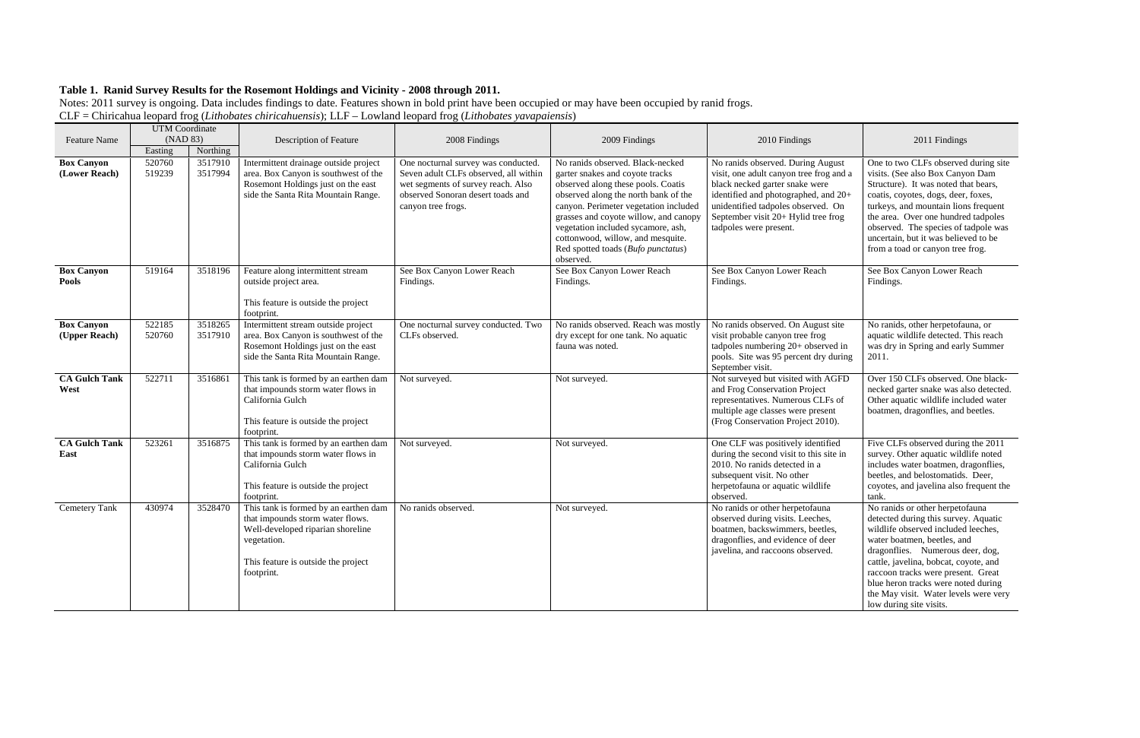|                                    | <b>UTM</b> Coordinate |                    |                                                                                                                                                                                    |                                                                                                                                                                               |                                                                                                                                                                                                                                                                                                                                                                   |                                                                                                                                                                                                                                                               |                                                                                                                                                                                                                                                                                                                                                                             |
|------------------------------------|-----------------------|--------------------|------------------------------------------------------------------------------------------------------------------------------------------------------------------------------------|-------------------------------------------------------------------------------------------------------------------------------------------------------------------------------|-------------------------------------------------------------------------------------------------------------------------------------------------------------------------------------------------------------------------------------------------------------------------------------------------------------------------------------------------------------------|---------------------------------------------------------------------------------------------------------------------------------------------------------------------------------------------------------------------------------------------------------------|-----------------------------------------------------------------------------------------------------------------------------------------------------------------------------------------------------------------------------------------------------------------------------------------------------------------------------------------------------------------------------|
| <b>Feature Name</b>                | (NAD 83)              |                    | Description of Feature                                                                                                                                                             | 2008 Findings                                                                                                                                                                 | 2009 Findings                                                                                                                                                                                                                                                                                                                                                     | 2010 Findings                                                                                                                                                                                                                                                 | 2011 Findings                                                                                                                                                                                                                                                                                                                                                               |
|                                    | Easting               | Northing           |                                                                                                                                                                                    |                                                                                                                                                                               |                                                                                                                                                                                                                                                                                                                                                                   |                                                                                                                                                                                                                                                               |                                                                                                                                                                                                                                                                                                                                                                             |
| <b>Box Canyon</b><br>(Lower Reach) | 520760<br>519239      | 3517910<br>3517994 | Intermittent drainage outside project<br>area. Box Canyon is southwest of the<br>Rosemont Holdings just on the east<br>side the Santa Rita Mountain Range.                         | One nocturnal survey was conducted.<br>Seven adult CLFs observed, all within<br>wet segments of survey reach. Also<br>observed Sonoran desert toads and<br>canyon tree frogs. | No ranids observed. Black-necked<br>garter snakes and coyote tracks<br>observed along these pools. Coatis<br>observed along the north bank of the<br>canyon. Perimeter vegetation included<br>grasses and coyote willow, and canopy<br>vegetation included sycamore, ash,<br>cottonwood, willow, and mesquite.<br>Red spotted toads (Bufo punctatus)<br>observed. | No ranids observed. During August<br>visit, one adult canyon tree frog and a<br>black necked garter snake were<br>identified and photographed, and 20+<br>unidentified tadpoles observed. On<br>September visit 20+ Hylid tree frog<br>tadpoles were present. | One to two CLFs observed during site<br>visits. (See also Box Canyon Dam<br>Structure). It was noted that bears,<br>coatis, coyotes, dogs, deer, foxes,<br>turkeys, and mountain lions frequent<br>the area. Over one hundred tadpoles<br>observed. The species of tadpole was<br>uncertain, but it was believed to be<br>from a toad or canyon tree frog.                  |
| <b>Box Canyon</b><br><b>Pools</b>  | 519164                | 3518196            | Feature along intermittent stream<br>outside project area.<br>This feature is outside the project<br>footprint.                                                                    | See Box Canyon Lower Reach<br>Findings.                                                                                                                                       | See Box Canyon Lower Reach<br>Findings.                                                                                                                                                                                                                                                                                                                           | See Box Canyon Lower Reach<br>Findings.                                                                                                                                                                                                                       | See Box Canyon Lower Reach<br>Findings.                                                                                                                                                                                                                                                                                                                                     |
| <b>Box Canyon</b><br>(Upper Reach) | 522185<br>520760      | 3518265<br>3517910 | Intermittent stream outside project<br>area. Box Canyon is southwest of the<br>Rosemont Holdings just on the east<br>side the Santa Rita Mountain Range.                           | One nocturnal survey conducted. Two<br>CLFs observed.                                                                                                                         | No ranids observed. Reach was mostly<br>dry except for one tank. No aquatic<br>fauna was noted.                                                                                                                                                                                                                                                                   | No ranids observed. On August site<br>visit probable canyon tree frog<br>tadpoles numbering 20+ observed in<br>pools. Site was 95 percent dry during<br>September visit.                                                                                      | No ranids, other herpetofauna, or<br>aquatic wildlife detected. This reach<br>was dry in Spring and early Summer<br>2011.                                                                                                                                                                                                                                                   |
| <b>CA Gulch Tank</b><br>West       | 522711                | 3516861            | This tank is formed by an earthen dam<br>that impounds storm water flows in<br>California Gulch<br>This feature is outside the project<br>footprint.                               | Not surveyed.                                                                                                                                                                 | Not surveyed.                                                                                                                                                                                                                                                                                                                                                     | Not surveyed but visited with AGFD<br>and Frog Conservation Project<br>representatives. Numerous CLFs of<br>multiple age classes were present<br>(Frog Conservation Project 2010).                                                                            | Over 150 CLFs observed. One black-<br>necked garter snake was also detected.<br>Other aquatic wildlife included water<br>boatmen, dragonflies, and beetles.                                                                                                                                                                                                                 |
| <b>CA Gulch Tank</b><br>East       | 523261                | 3516875            | This tank is formed by an earthen dam<br>that impounds storm water flows in<br>California Gulch<br>This feature is outside the project<br>footprint.                               | Not surveyed.                                                                                                                                                                 | Not surveyed.                                                                                                                                                                                                                                                                                                                                                     | One CLF was positively identified<br>during the second visit to this site in<br>2010. No ranids detected in a<br>subsequent visit. No other<br>herpetofauna or aquatic wildlife<br>observed.                                                                  | Five CLFs observed during the 2011<br>survey. Other aquatic wildlife noted<br>includes water boatmen, dragonflies,<br>beetles, and belostomatids. Deer,<br>coyotes, and javelina also frequent the<br>tank.                                                                                                                                                                 |
| Cemetery Tank                      | 430974                | 3528470            | This tank is formed by an earthen dam<br>that impounds storm water flows.<br>Well-developed riparian shoreline<br>vegetation.<br>This feature is outside the project<br>footprint. | No ranids observed.                                                                                                                                                           | Not surveyed.                                                                                                                                                                                                                                                                                                                                                     | No ranids or other herpetofauna<br>observed during visits. Leeches,<br>boatmen, backswimmers, beetles,<br>dragonflies, and evidence of deer<br>javelina, and raccoons observed.                                                                               | No ranids or other herpetofauna<br>detected during this survey. Aquatic<br>wildlife observed included leeches,<br>water boatmen, beetles, and<br>dragonflies. Numerous deer, dog,<br>cattle, javelina, bobcat, coyote, and<br>raccoon tracks were present. Great<br>blue heron tracks were noted during<br>the May visit. Water levels were very<br>low during site visits. |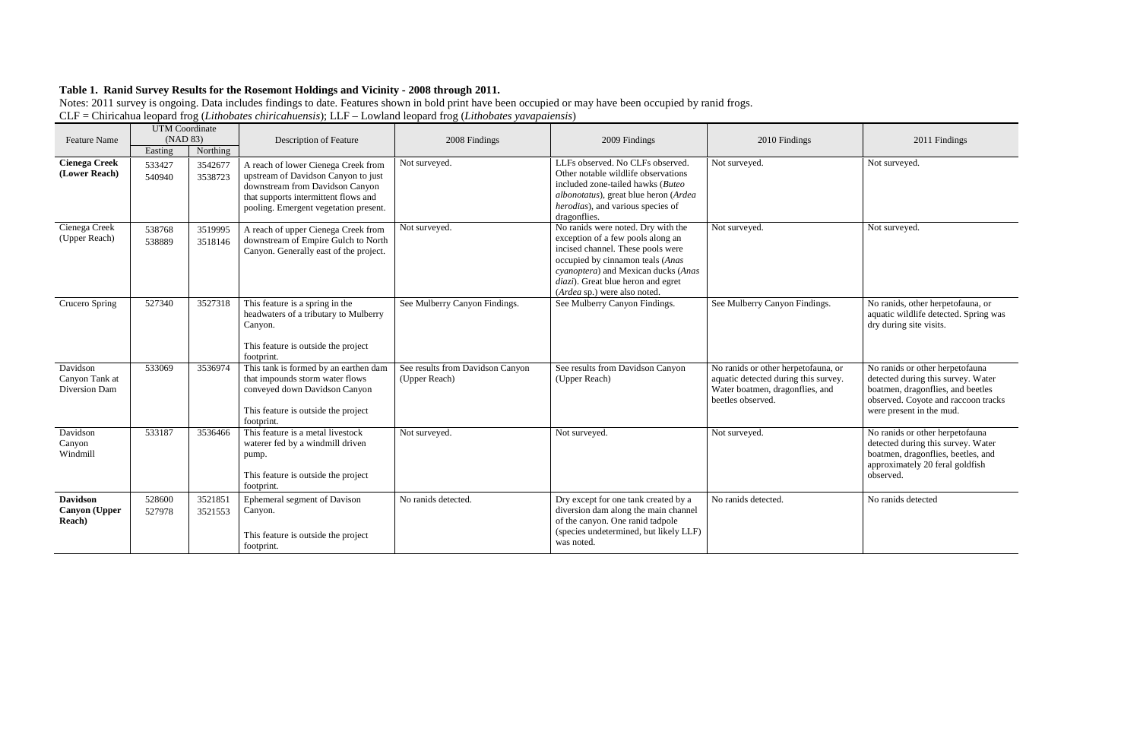| <b>UTM</b> Coordinate<br>(NAD 83)                         |                  |                    |                                                                                                                                                                                                |                                                   |                                                                                                                                                                                                                                                               |                                                                                                                                     |                                                                                                                                                                            |
|-----------------------------------------------------------|------------------|--------------------|------------------------------------------------------------------------------------------------------------------------------------------------------------------------------------------------|---------------------------------------------------|---------------------------------------------------------------------------------------------------------------------------------------------------------------------------------------------------------------------------------------------------------------|-------------------------------------------------------------------------------------------------------------------------------------|----------------------------------------------------------------------------------------------------------------------------------------------------------------------------|
| <b>Feature Name</b>                                       | Easting          | Northing           | Description of Feature                                                                                                                                                                         | 2008 Findings                                     | 2009 Findings                                                                                                                                                                                                                                                 | 2010 Findings                                                                                                                       | 2011 Findings                                                                                                                                                              |
| <b>Cienega Creek</b><br>(Lower Reach)                     | 533427<br>540940 | 3542677<br>3538723 | A reach of lower Cienega Creek from<br>upstream of Davidson Canyon to just<br>downstream from Davidson Canyon<br>that supports intermittent flows and<br>pooling. Emergent vegetation present. | Not surveyed.                                     | LLFs observed. No CLFs observed.<br>Other notable wildlife observations<br>included zone-tailed hawks (Buteo<br>albonotatus), great blue heron (Ardea<br>herodias), and various species of<br>dragonflies.                                                    | Not surveyed.                                                                                                                       | Not surveyed.                                                                                                                                                              |
| Cienega Creek<br>(Upper Reach)                            | 538768<br>538889 | 3519995<br>3518146 | A reach of upper Cienega Creek from<br>downstream of Empire Gulch to North<br>Canyon. Generally east of the project.                                                                           | Not surveyed.                                     | No ranids were noted. Dry with the<br>exception of a few pools along an<br>incised channel. These pools were<br>occupied by cinnamon teals (Anas<br>cyanoptera) and Mexican ducks (Anas<br>diazi). Great blue heron and egret<br>(Ardea sp.) were also noted. | Not surveyed.                                                                                                                       | Not surveyed.                                                                                                                                                              |
| Crucero Spring                                            | 527340           | 3527318            | This feature is a spring in the<br>headwaters of a tributary to Mulberry<br>Canyon.<br>This feature is outside the project<br>footprint.                                                       | See Mulberry Canyon Findings.                     | See Mulberry Canyon Findings.                                                                                                                                                                                                                                 | See Mulberry Canyon Findings.                                                                                                       | No ranids, other herpetofauna, or<br>aquatic wildlife detected. Spring<br>dry during site visits.                                                                          |
| Davidson<br>Canyon Tank at<br>Diversion Dam               | 533069           | 3536974            | This tank is formed by an earthen dam<br>that impounds storm water flows<br>conveyed down Davidson Canyon<br>This feature is outside the project<br>footprint.                                 | See results from Davidson Canyon<br>(Upper Reach) | See results from Davidson Canyon<br>(Upper Reach)                                                                                                                                                                                                             | No ranids or other herpetofauna, or<br>aquatic detected during this survey.<br>Water boatmen, dragonflies, and<br>beetles observed. | No ranids or other herpetofauna<br>detected during this survey. Water<br>boatmen, dragonflies, and beetles<br>observed. Coyote and raccoon tra<br>were present in the mud. |
| Davidson<br>Canyon<br>Windmill                            | 533187           | 3536466            | This feature is a metal livestock<br>waterer fed by a windmill driven<br>pump.<br>This feature is outside the project<br>footprint.                                                            | Not surveyed.                                     | Not surveyed.                                                                                                                                                                                                                                                 | Not surveyed.                                                                                                                       | No ranids or other herpetofauna<br>detected during this survey. Wate<br>boatmen, dragonflies, beetles, and<br>approximately 20 feral goldfish<br>observed.                 |
| <b>Davidson</b><br><b>Canyon</b> (Upper<br><b>Reach</b> ) | 528600<br>527978 | 3521851<br>3521553 | Ephemeral segment of Davison<br>Canyon.<br>This feature is outside the project<br>footprint.                                                                                                   | No ranids detected.                               | Dry except for one tank created by a<br>diversion dam along the main channel<br>of the canyon. One ranid tadpole<br>(species undetermined, but likely LLF)<br>was noted.                                                                                      | No ranids detected                                                                                                                  | No ranids detected                                                                                                                                                         |

|          | 2011 Findings                                                                                                                                                                 |
|----------|-------------------------------------------------------------------------------------------------------------------------------------------------------------------------------|
|          | Not surveyed.                                                                                                                                                                 |
|          | Not surveyed.                                                                                                                                                                 |
|          | No ranids, other herpetofauna, or<br>aquatic wildlife detected. Spring was<br>dry during site visits.                                                                         |
| Ιľ<br>γ. | No ranids or other herpetofauna<br>detected during this survey. Water<br>boatmen, dragonflies, and beetles<br>observed. Coyote and raccoon tracks<br>were present in the mud. |
|          | No ranids or other herpetofauna<br>detected during this survey. Water<br>boatmen, dragonflies, beetles, and<br>approximately 20 feral goldfish<br>observed.                   |
|          | No ranids detected                                                                                                                                                            |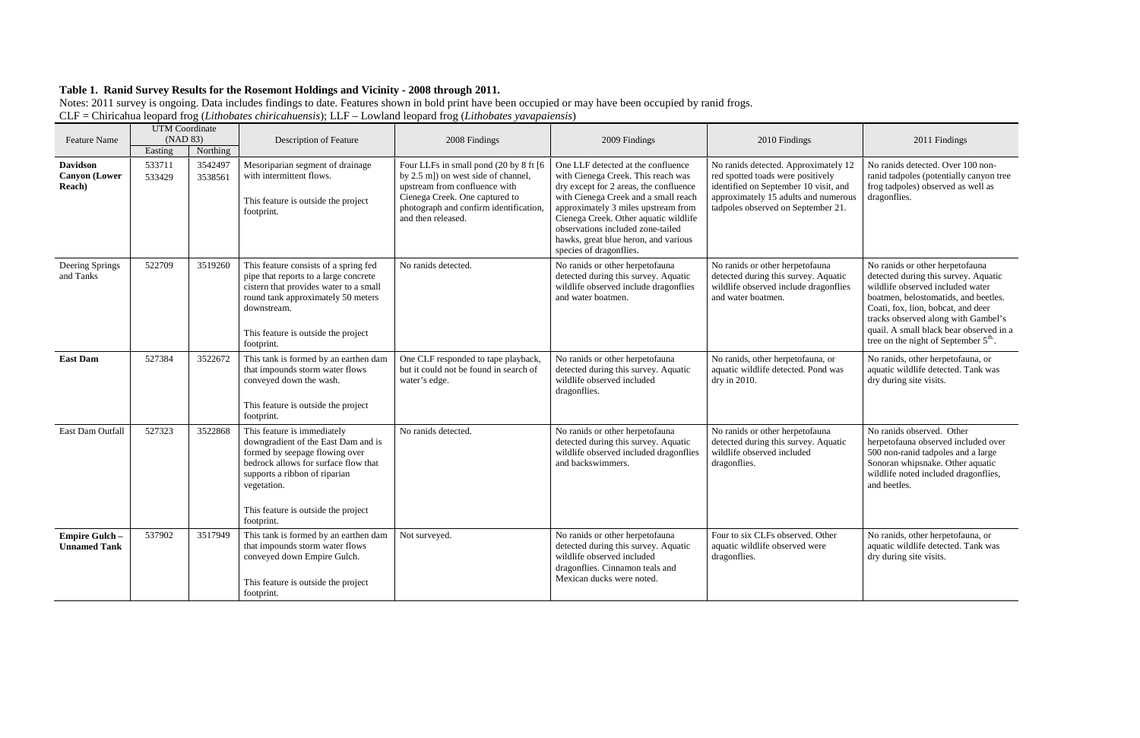| <b>Feature Name</b>                               | <b>UTM</b> Coordinate<br>(NAD 83) |                    | <b>Description of Feature</b>                                                                                                                                                                                                                     | 2008 Findings                                                                                                                                                                                                    | 2009 Findings                                                                                                                                                                                                                                                                                                                                      | 2010 Findings                                                                                                                                                                                    | 2011 Findings                                                                                                                                                                                                                                                                                                                   |
|---------------------------------------------------|-----------------------------------|--------------------|---------------------------------------------------------------------------------------------------------------------------------------------------------------------------------------------------------------------------------------------------|------------------------------------------------------------------------------------------------------------------------------------------------------------------------------------------------------------------|----------------------------------------------------------------------------------------------------------------------------------------------------------------------------------------------------------------------------------------------------------------------------------------------------------------------------------------------------|--------------------------------------------------------------------------------------------------------------------------------------------------------------------------------------------------|---------------------------------------------------------------------------------------------------------------------------------------------------------------------------------------------------------------------------------------------------------------------------------------------------------------------------------|
|                                                   | Easting                           | Northing           |                                                                                                                                                                                                                                                   |                                                                                                                                                                                                                  |                                                                                                                                                                                                                                                                                                                                                    |                                                                                                                                                                                                  |                                                                                                                                                                                                                                                                                                                                 |
| <b>Davidson</b><br><b>Canyon</b> (Lower<br>Reach) | 533711<br>533429                  | 3542497<br>3538561 | Mesoriparian segment of drainage<br>with intermittent flows.<br>This feature is outside the project<br>footprint.                                                                                                                                 | Four LLFs in small pond (20 by 8 ft [6<br>by 2.5 m]) on west side of channel,<br>upstream from confluence with<br>Cienega Creek. One captured to<br>photograph and confirm identification,<br>and then released. | One LLF detected at the confluence<br>with Cienega Creek. This reach was<br>dry except for 2 areas, the confluence<br>with Cienega Creek and a small reach<br>approximately 3 miles upstream from<br>Cienega Creek. Other aquatic wildlife<br>observations included zone-tailed<br>hawks, great blue heron, and various<br>species of dragonflies. | No ranids detected. Approximately 12<br>red spotted toads were positively<br>identified on September 10 visit, and<br>approximately 15 adults and numerous<br>tadpoles observed on September 21. | No ranids detected. Over 100 non-<br>ranid tadpoles (potentially canyon tree<br>frog tadpoles) observed as well as<br>dragonflies.                                                                                                                                                                                              |
| Deering Springs<br>and Tanks                      | 522709                            | 3519260            | This feature consists of a spring fed<br>pipe that reports to a large concrete<br>cistern that provides water to a small<br>round tank approximately 50 meters<br>downstream.<br>This feature is outside the project<br>footprint.                | No ranids detected.                                                                                                                                                                                              | No ranids or other herpetofauna<br>detected during this survey. Aquatic<br>wildlife observed include dragonflies<br>and water boatmen.                                                                                                                                                                                                             | No ranids or other herpetofauna<br>detected during this survey. Aquatic<br>wildlife observed include dragonflies<br>and water boatmen.                                                           | No ranids or other herpetofauna<br>detected during this survey. Aquatic<br>wildlife observed included water<br>boatmen, belostomatids, and beetles.<br>Coati, fox, lion, bobcat, and deer<br>tracks observed along with Gambel's<br>quail. A small black bear observed in a<br>tree on the night of September $5^{\text{th}}$ . |
| <b>East Dam</b>                                   | 527384                            | 3522672            | This tank is formed by an earthen dam<br>that impounds storm water flows<br>conveyed down the wash.<br>This feature is outside the project<br>footprint.                                                                                          | One CLF responded to tape playback,<br>but it could not be found in search of<br>water's edge.                                                                                                                   | No ranids or other herpetofauna<br>detected during this survey. Aquatic<br>wildlife observed included<br>dragonflies.                                                                                                                                                                                                                              | No ranids, other herpetofauna, or<br>aquatic wildlife detected. Pond was<br>dry in 2010.                                                                                                         | No ranids, other herpetofauna, or<br>aquatic wildlife detected. Tank was<br>dry during site visits.                                                                                                                                                                                                                             |
| East Dam Outfall                                  | 527323                            | 3522868            | This feature is immediately<br>downgradient of the East Dam and is<br>formed by seepage flowing over<br>bedrock allows for surface flow that<br>supports a ribbon of riparian<br>vegetation.<br>This feature is outside the project<br>footprint. | No ranids detected.                                                                                                                                                                                              | No ranids or other herpetofauna<br>detected during this survey. Aquatic<br>wildlife observed included dragonflies<br>and backswimmers.                                                                                                                                                                                                             | No ranids or other herpetofauna<br>detected during this survey. Aquatic<br>wildlife observed included<br>dragonflies.                                                                            | No ranids observed. Other<br>herpetofauna observed included over<br>500 non-ranid tadpoles and a large<br>Sonoran whipsnake. Other aquatic<br>wildlife noted included dragonflies,<br>and beetles.                                                                                                                              |
| <b>Empire Gulch -</b><br><b>Unnamed Tank</b>      | 537902                            | 3517949            | This tank is formed by an earthen dam<br>that impounds storm water flows<br>conveyed down Empire Gulch.<br>This feature is outside the project<br>footprint.                                                                                      | Not surveyed.                                                                                                                                                                                                    | No ranids or other herpetofauna<br>detected during this survey. Aquatic<br>wildlife observed included<br>dragonflies. Cinnamon teals and<br>Mexican ducks were noted.                                                                                                                                                                              | Four to six CLFs observed. Other<br>aquatic wildlife observed were<br>dragonflies.                                                                                                               | No ranids, other herpetofauna, or<br>aquatic wildlife detected. Tank was<br>dry during site visits.                                                                                                                                                                                                                             |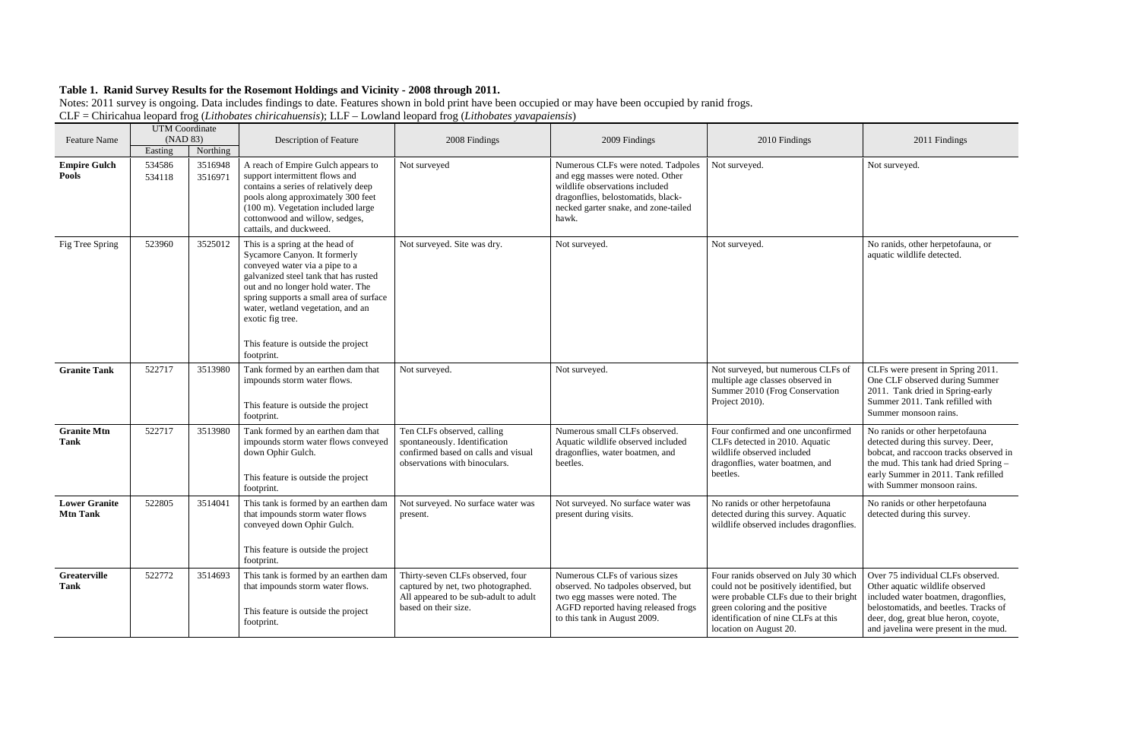| <b>Feature Name</b>                     | <b>UTM</b> Coordinate<br>(NAD 83) |                                | Description of Feature                                                                                                                                                                                                                                                                                                                   | 2008 Findings                                                                                                                           | 2009 Findings                                                                                                                                                                                   | 2010 Findings                                                                                                                                                                                                                  | 2011 Findings                                                                                                                                                                                                                          |
|-----------------------------------------|-----------------------------------|--------------------------------|------------------------------------------------------------------------------------------------------------------------------------------------------------------------------------------------------------------------------------------------------------------------------------------------------------------------------------------|-----------------------------------------------------------------------------------------------------------------------------------------|-------------------------------------------------------------------------------------------------------------------------------------------------------------------------------------------------|--------------------------------------------------------------------------------------------------------------------------------------------------------------------------------------------------------------------------------|----------------------------------------------------------------------------------------------------------------------------------------------------------------------------------------------------------------------------------------|
| <b>Empire Gulch</b><br>Pools            | Easting<br>534586<br>534118       | Northing<br>3516948<br>3516971 | A reach of Empire Gulch appears to<br>support intermittent flows and<br>contains a series of relatively deep<br>pools along approximately 300 feet<br>(100 m). Vegetation included large<br>cottonwood and willow, sedges,<br>cattails, and duckweed.                                                                                    | Not surveyed                                                                                                                            | Numerous CLFs were noted. Tadpoles<br>and egg masses were noted. Other<br>wildlife observations included<br>dragonflies, belostomatids, black-<br>necked garter snake, and zone-tailed<br>hawk. | Not surveyed.                                                                                                                                                                                                                  | Not surveyed.                                                                                                                                                                                                                          |
| Fig Tree Spring                         | 523960                            | 3525012                        | This is a spring at the head of<br>Sycamore Canyon. It formerly<br>conveyed water via a pipe to a<br>galvanized steel tank that has rusted<br>out and no longer hold water. The<br>spring supports a small area of surface<br>water, wetland vegetation, and an<br>exotic fig tree.<br>This feature is outside the project<br>footprint. | Not surveyed. Site was dry.                                                                                                             | Not surveyed.                                                                                                                                                                                   | Not surveyed.                                                                                                                                                                                                                  | No ranids, other herpetofauna, or<br>aquatic wildlife detected.                                                                                                                                                                        |
| <b>Granite Tank</b>                     | 522717                            | 3513980                        | Tank formed by an earthen dam that<br>impounds storm water flows.<br>This feature is outside the project<br>footprint.                                                                                                                                                                                                                   | Not surveyed.                                                                                                                           | Not surveyed.                                                                                                                                                                                   | Not surveyed, but numerous CLFs of<br>multiple age classes observed in<br>Summer 2010 (Frog Conservation<br>Project 2010).                                                                                                     | CLFs were present in Spring 2011.<br>One CLF observed during Summer<br>2011. Tank dried in Spring-early<br>Summer 2011. Tank refilled with<br>Summer monsoon rains.                                                                    |
| <b>Granite Mtn</b><br>Tank              | 522717                            | 3513980                        | Tank formed by an earthen dam that<br>impounds storm water flows conveyed<br>down Ophir Gulch.<br>This feature is outside the project<br>footprint.                                                                                                                                                                                      | Ten CLFs observed, calling<br>spontaneously. Identification<br>confirmed based on calls and visual<br>observations with binoculars.     | Numerous small CLFs observed.<br>Aquatic wildlife observed included<br>dragonflies, water boatmen, and<br>beetles.                                                                              | Four confirmed and one unconfirmed<br>CLFs detected in 2010. Aquatic<br>wildlife observed included<br>dragonflies, water boatmen, and<br>beetles.                                                                              | No ranids or other herpetofauna<br>detected during this survey. Deer,<br>bobcat, and raccoon tracks observed in<br>the mud. This tank had dried Spring -<br>early Summer in 2011. Tank refilled<br>with Summer monsoon rains.          |
| <b>Lower Granite</b><br><b>Mtn Tank</b> | 522805                            | 3514041                        | This tank is formed by an earthen dam<br>that impounds storm water flows<br>conveyed down Ophir Gulch.<br>This feature is outside the project<br>footprint.                                                                                                                                                                              | Not surveyed. No surface water was<br>present.                                                                                          | Not surveyed. No surface water was<br>present during visits.                                                                                                                                    | No ranids or other herpetofauna<br>detected during this survey. Aquatic<br>wildlife observed includes dragonflies.                                                                                                             | No ranids or other herpetofauna<br>detected during this survey.                                                                                                                                                                        |
| Greaterville<br>Tank                    | 522772                            | 3514693                        | This tank is formed by an earthen dam<br>that impounds storm water flows.<br>This feature is outside the project<br>footprint.                                                                                                                                                                                                           | Thirty-seven CLFs observed, four<br>captured by net, two photographed.<br>All appeared to be sub-adult to adult<br>based on their size. | Numerous CLFs of various sizes<br>observed. No tadpoles observed, but<br>two egg masses were noted. The<br>AGFD reported having released frogs<br>to this tank in August 2009.                  | Four ranids observed on July 30 which<br>could not be positively identified, but<br>were probable CLFs due to their bright<br>green coloring and the positive<br>identification of nine CLFs at this<br>location on August 20. | Over 75 individual CLFs observed.<br>Other aquatic wildlife observed<br>included water boatmen, dragonflies,<br>belostomatids, and beetles. Tracks of<br>deer, dog, great blue heron, coyote,<br>and javelina were present in the mud. |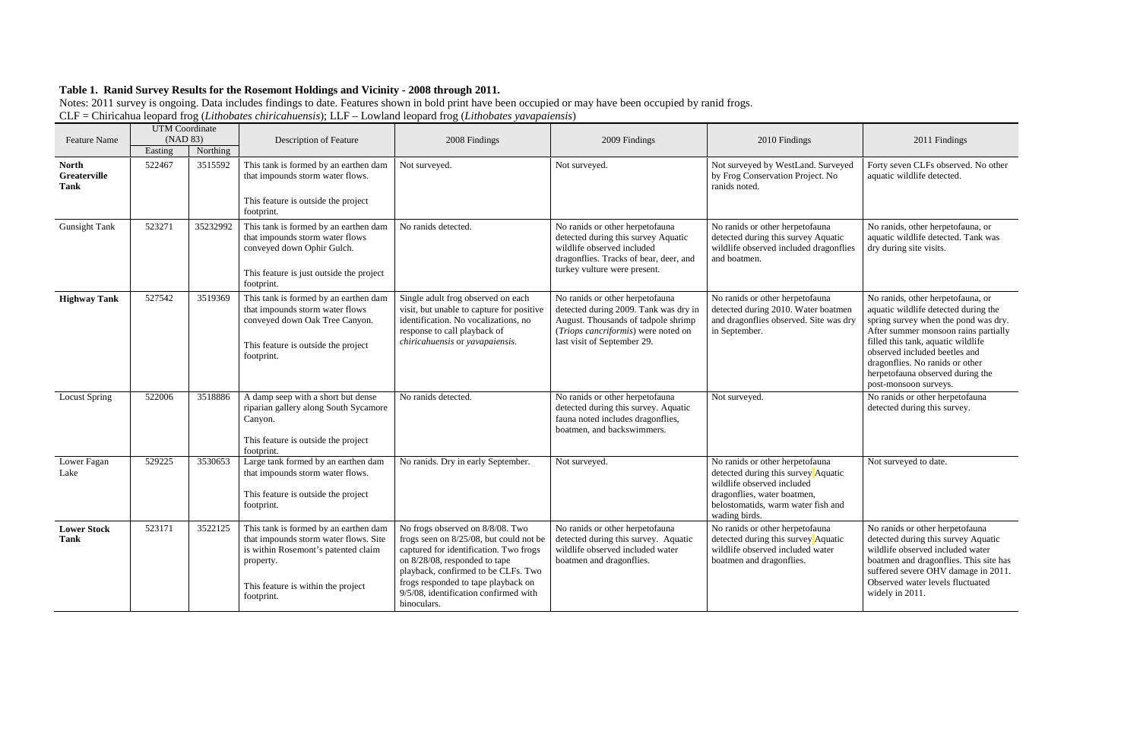| <b>Feature Name</b>                         | <b>UTM</b> Coordinate<br>(NAD 83) |          | Description of Feature                                                                                                                                                                 | 2008 Findings                                                                                                                                                                                                                                                                                | 2009 Findings                                                                                                                                                                         | 2010 Findings                                                                                                                                                                              | 2011 Findings                                                                                                                                                                                                                                                                                                                    |
|---------------------------------------------|-----------------------------------|----------|----------------------------------------------------------------------------------------------------------------------------------------------------------------------------------------|----------------------------------------------------------------------------------------------------------------------------------------------------------------------------------------------------------------------------------------------------------------------------------------------|---------------------------------------------------------------------------------------------------------------------------------------------------------------------------------------|--------------------------------------------------------------------------------------------------------------------------------------------------------------------------------------------|----------------------------------------------------------------------------------------------------------------------------------------------------------------------------------------------------------------------------------------------------------------------------------------------------------------------------------|
|                                             | Easting                           | Northing |                                                                                                                                                                                        |                                                                                                                                                                                                                                                                                              |                                                                                                                                                                                       |                                                                                                                                                                                            |                                                                                                                                                                                                                                                                                                                                  |
| <b>North</b><br><b>Greaterville</b><br>Tank | 522467                            | 3515592  | This tank is formed by an earthen dam<br>that impounds storm water flows.<br>This feature is outside the project<br>footprint.                                                         | Not surveyed.                                                                                                                                                                                                                                                                                | Not surveyed.                                                                                                                                                                         | Not surveyed by WestLand. Surveyed<br>by Frog Conservation Project. No<br>ranids noted.                                                                                                    | Forty seven CLFs observed. No other<br>aquatic wildlife detected.                                                                                                                                                                                                                                                                |
| <b>Gunsight Tank</b>                        | 523271                            | 35232992 | This tank is formed by an earthen dam<br>that impounds storm water flows<br>conveyed down Ophir Gulch.<br>This feature is just outside the project<br>footprint.                       | No ranids detected.                                                                                                                                                                                                                                                                          | No ranids or other herpetofauna<br>detected during this survey Aquatic<br>wildlife observed included<br>dragonflies. Tracks of bear, deer, and<br>turkey vulture were present.        | No ranids or other herpetofauna<br>detected during this survey Aquatic<br>wildlife observed included dragonflies<br>and boatmen.                                                           | No ranids, other herpetofauna, or<br>aquatic wildlife detected. Tank was<br>dry during site visits.                                                                                                                                                                                                                              |
| <b>Highway Tank</b>                         | 527542                            | 3519369  | This tank is formed by an earthen dam<br>that impounds storm water flows<br>conveyed down Oak Tree Canyon.<br>This feature is outside the project<br>footprint.                        | Single adult frog observed on each<br>visit, but unable to capture for positive<br>identification. No vocalizations, no<br>response to call playback of<br>chiricahuensis or yavapaiensis.                                                                                                   | No ranids or other herpetofauna<br>detected during 2009. Tank was dry in<br>August. Thousands of tadpole shrimp<br>(Triops cancriformis) were noted on<br>last visit of September 29. | No ranids or other herpetofauna<br>detected during 2010. Water boatmen<br>and dragonflies observed. Site was dry<br>in September.                                                          | No ranids, other herpetofauna, or<br>aquatic wildlife detected during the<br>spring survey when the pond was dry.<br>After summer monsoon rains partially<br>filled this tank, aquatic wildlife<br>observed included beetles and<br>dragonflies. No ranids or other<br>herpetofauna observed during the<br>post-monsoon surveys. |
| <b>Locust Spring</b>                        | 522006                            | 3518886  | A damp seep with a short but dense<br>riparian gallery along South Sycamore<br>Canyon.<br>This feature is outside the project<br>footprint.                                            | No ranids detected.                                                                                                                                                                                                                                                                          | No ranids or other herpetofauna<br>detected during this survey. Aquatic<br>fauna noted includes dragonflies,<br>boatmen, and backswimmers.                                            | Not surveyed.                                                                                                                                                                              | No ranids or other herpetofauna<br>detected during this survey.                                                                                                                                                                                                                                                                  |
| Lower Fagan<br>Lake                         | 529225                            | 3530653  | Large tank formed by an earthen dam<br>that impounds storm water flows.<br>This feature is outside the project<br>footprint.                                                           | No ranids. Dry in early September.                                                                                                                                                                                                                                                           | Not surveyed.                                                                                                                                                                         | No ranids or other herpetofauna<br>detected during this survey Aquatic<br>wildlife observed included<br>dragonflies, water boatmen,<br>belostomatids, warm water fish and<br>wading birds. | Not surveyed to date.                                                                                                                                                                                                                                                                                                            |
| <b>Lower Stock</b><br><b>Tank</b>           | 523171                            | 3522125  | This tank is formed by an earthen dam<br>that impounds storm water flows. Site<br>is within Rosemont's patented claim<br>property.<br>This feature is within the project<br>footprint. | No frogs observed on 8/8/08. Two<br>frogs seen on 8/25/08, but could not be<br>captured for identification. Two frogs<br>on 8/28/08, responded to tape<br>playback, confirmed to be CLFs. Two<br>frogs responded to tape playback on<br>9/5/08, identification confirmed with<br>binoculars. | No ranids or other herpetofauna<br>detected during this survey. Aquatic<br>wildlife observed included water<br>boatmen and dragonflies.                                               | No ranids or other herpetofauna<br>detected during this survey Aquatic<br>wildlife observed included water<br>boatmen and dragonflies.                                                     | No ranids or other herpetofauna<br>detected during this survey Aquatic<br>wildlife observed included water<br>boatmen and dragonflies. This site has<br>suffered severe OHV damage in 2011.<br>Observed water levels fluctuated<br>widely in 2011.                                                                               |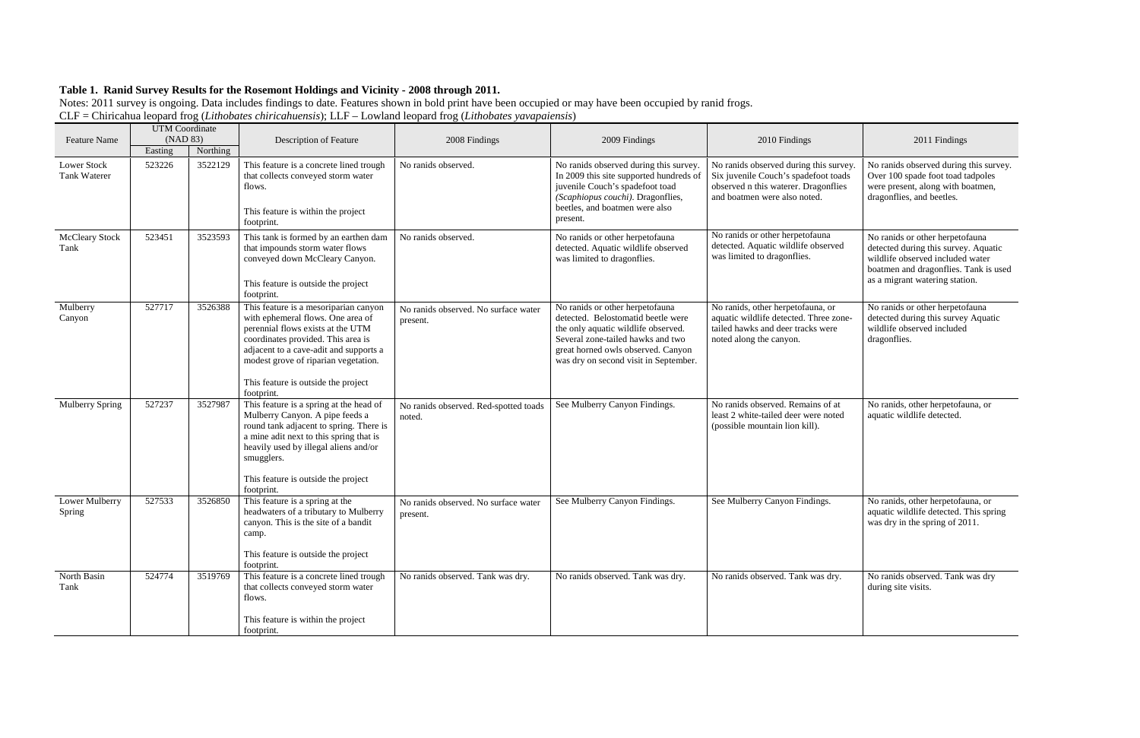| <b>Feature Name</b>                       | <b>UTM</b> Coordinate<br>(NAD 83) |          | <b>Description of Feature</b>                                                                                                                                                                                                                                                                | 2008 Findings                                    | 2009 Findings                                                                                                                                                                                                                    | 2010 Findings                                                                                                                                          | 2011 Findings                                                                                                                                                                          |
|-------------------------------------------|-----------------------------------|----------|----------------------------------------------------------------------------------------------------------------------------------------------------------------------------------------------------------------------------------------------------------------------------------------------|--------------------------------------------------|----------------------------------------------------------------------------------------------------------------------------------------------------------------------------------------------------------------------------------|--------------------------------------------------------------------------------------------------------------------------------------------------------|----------------------------------------------------------------------------------------------------------------------------------------------------------------------------------------|
|                                           | Easting                           | Northing |                                                                                                                                                                                                                                                                                              |                                                  |                                                                                                                                                                                                                                  |                                                                                                                                                        |                                                                                                                                                                                        |
| <b>Lower Stock</b><br><b>Tank Waterer</b> | 523226                            | 3522129  | This feature is a concrete lined trough<br>that collects conveyed storm water<br>flows.<br>This feature is within the project<br>footprint.                                                                                                                                                  | No ranids observed.                              | No ranids observed during this survey.<br>In 2009 this site supported hundreds of<br>juvenile Couch's spadefoot toad<br>(Scaphiopus couchi). Dragonflies,<br>beetles, and boatmen were also<br>present.                          | No ranids observed during this survey.<br>Six juvenile Couch's spadefoot toads<br>observed n this waterer. Dragonflies<br>and boatmen were also noted. | No ranids observed during this survey.<br>Over 100 spade foot toad tadpoles<br>were present, along with boatmen,<br>dragonflies, and beetles.                                          |
| <b>McCleary Stock</b><br>Tank             | 523451                            | 3523593  | This tank is formed by an earthen dam<br>that impounds storm water flows<br>conveyed down McCleary Canyon.<br>This feature is outside the project<br>footprint.                                                                                                                              | No ranids observed.                              | No ranids or other herpetofauna<br>detected. Aquatic wildlife observed<br>was limited to dragonflies.                                                                                                                            | No ranids or other herpetofauna<br>detected. Aquatic wildlife observed<br>was limited to dragonflies.                                                  | No ranids or other herpetofauna<br>detected during this survey. Aquatic<br>wildlife observed included water<br>boatmen and dragonflies. Tank is used<br>as a migrant watering station. |
| Mulberry<br>Canyon                        | 527717                            | 3526388  | This feature is a mesoriparian canyon<br>with ephemeral flows. One area of<br>perennial flows exists at the UTM<br>coordinates provided. This area is<br>adjacent to a cave-adit and supports a<br>modest grove of riparian vegetation.<br>This feature is outside the project<br>footprint. | No ranids observed. No surface water<br>present. | No ranids or other herpetofauna<br>detected. Belostomatid beetle were<br>the only aquatic wildlife observed.<br>Several zone-tailed hawks and two<br>great horned owls observed. Canyon<br>was dry on second visit in September. | No ranids, other herpetofauna, or<br>aquatic wildlife detected. Three zone-<br>tailed hawks and deer tracks were<br>noted along the canyon.            | No ranids or other herpetofauna<br>detected during this survey Aquatic<br>wildlife observed included<br>dragonflies.                                                                   |
| <b>Mulberry Spring</b>                    | 527237                            | 3527987  | This feature is a spring at the head of<br>Mulberry Canyon. A pipe feeds a<br>round tank adjacent to spring. There is<br>a mine adit next to this spring that is<br>heavily used by illegal aliens and/or<br>smugglers.<br>This feature is outside the project<br>footprint.                 | No ranids observed. Red-spotted toads<br>noted.  | See Mulberry Canyon Findings.                                                                                                                                                                                                    | No ranids observed. Remains of at<br>least 2 white-tailed deer were noted<br>(possible mountain lion kill).                                            | No ranids, other herpetofauna, or<br>aquatic wildlife detected.                                                                                                                        |
| Lower Mulberry<br><b>Spring</b>           | 527533                            | 3526850  | This feature is a spring at the<br>headwaters of a tributary to Mulberry<br>canyon. This is the site of a bandit<br>camp.<br>This feature is outside the project<br>footprint.                                                                                                               | No ranids observed. No surface water<br>present. | See Mulberry Canyon Findings.                                                                                                                                                                                                    | See Mulberry Canyon Findings.                                                                                                                          | No ranids, other herpetofauna, or<br>aquatic wildlife detected. This spring<br>was dry in the spring of 2011.                                                                          |
| North Basin<br>Tank                       | 524774                            | 3519769  | This feature is a concrete lined trough<br>that collects conveyed storm water<br>flows.<br>This feature is within the project<br>footprint.                                                                                                                                                  | No ranids observed. Tank was dry.                | No ranids observed. Tank was dry.                                                                                                                                                                                                | No ranids observed. Tank was dry.                                                                                                                      | No ranids observed. Tank was dry<br>during site visits.                                                                                                                                |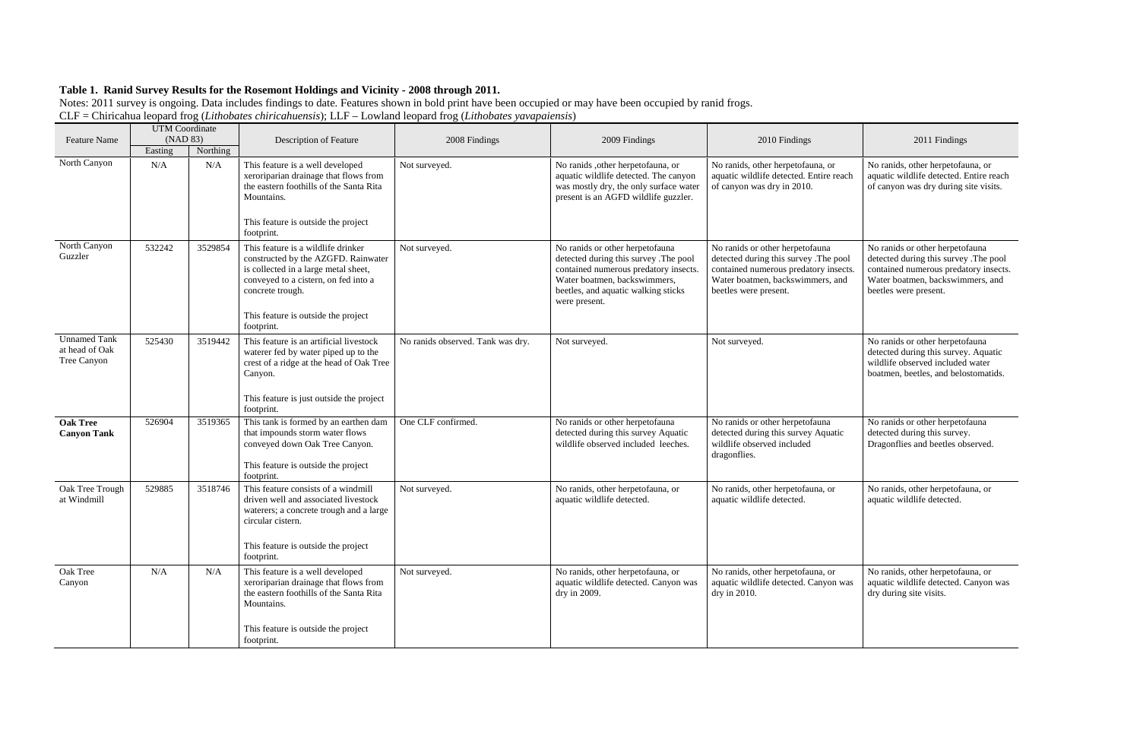|                                                      | <b>UTM</b> Coordinate |          |                                                                                                                                                                                                                                    |                                   |                                                                                                                                                                                                           |                                                                                                                                                                                |                                                                                                                                                                                |
|------------------------------------------------------|-----------------------|----------|------------------------------------------------------------------------------------------------------------------------------------------------------------------------------------------------------------------------------------|-----------------------------------|-----------------------------------------------------------------------------------------------------------------------------------------------------------------------------------------------------------|--------------------------------------------------------------------------------------------------------------------------------------------------------------------------------|--------------------------------------------------------------------------------------------------------------------------------------------------------------------------------|
| <b>Feature Name</b>                                  | (NAD 83)              |          | Description of Feature                                                                                                                                                                                                             | 2008 Findings                     | 2009 Findings                                                                                                                                                                                             | 2010 Findings                                                                                                                                                                  | 2011 Findings                                                                                                                                                                  |
|                                                      | Easting               | Northing |                                                                                                                                                                                                                                    |                                   |                                                                                                                                                                                                           |                                                                                                                                                                                |                                                                                                                                                                                |
| North Canyon                                         | N/A                   | N/A      | This feature is a well developed<br>xeroriparian drainage that flows from<br>the eastern foothills of the Santa Rita<br>Mountains.<br>This feature is outside the project<br>footprint.                                            | Not surveyed.                     | No ranids , other herpetofauna, or<br>aquatic wildlife detected. The canyon<br>was mostly dry, the only surface water<br>present is an AGFD wildlife guzzler.                                             | No ranids, other herpetofauna, or<br>aquatic wildlife detected. Entire reach<br>of canyon was dry in 2010.                                                                     | No ranids, other herpetofauna, or<br>aquatic wildlife detected. Entire reach<br>of canyon was dry during site visits.                                                          |
| North Canyon<br>Guzzler                              | 532242                | 3529854  | This feature is a wildlife drinker<br>constructed by the AZGFD. Rainwater<br>is collected in a large metal sheet,<br>conveyed to a cistern, on fed into a<br>concrete trough.<br>This feature is outside the project<br>footprint. | Not surveyed.                     | No ranids or other herpetofauna<br>detected during this survey .The pool<br>contained numerous predatory insects.<br>Water boatmen, backswimmers,<br>beetles, and aquatic walking sticks<br>were present. | No ranids or other herpetofauna<br>detected during this survey. The pool<br>contained numerous predatory insects.<br>Water boatmen, backswimmers, and<br>beetles were present. | No ranids or other herpetofauna<br>detected during this survey .The pool<br>contained numerous predatory insects.<br>Water boatmen, backswimmers, and<br>beetles were present. |
| <b>Unnamed Tank</b><br>at head of Oak<br>Tree Canyon | 525430                | 3519442  | This feature is an artificial livestock<br>waterer fed by water piped up to the<br>crest of a ridge at the head of Oak Tree<br>Canyon.<br>This feature is just outside the project<br>footprint.                                   | No ranids observed. Tank was dry. | Not surveyed.                                                                                                                                                                                             | Not surveyed.                                                                                                                                                                  | No ranids or other herpetofauna<br>detected during this survey. Aquatic<br>wildlife observed included water<br>boatmen, beetles, and belostomatids.                            |
| <b>Oak Tree</b><br><b>Canyon Tank</b>                | 526904                | 3519365  | This tank is formed by an earthen dam<br>that impounds storm water flows<br>conveyed down Oak Tree Canyon.<br>This feature is outside the project<br>footprint.                                                                    | One CLF confirmed                 | No ranids or other herpetofauna<br>detected during this survey Aquatic<br>wildlife observed included leeches.                                                                                             | No ranids or other herpetofauna<br>detected during this survey Aquatic<br>wildlife observed included<br>dragonflies.                                                           | No ranids or other herpetofauna<br>detected during this survey.<br>Dragonflies and beetles observed.                                                                           |
| Oak Tree Trough<br>at Windmill                       | 529885                | 3518746  | This feature consists of a windmill<br>driven well and associated livestock<br>waterers; a concrete trough and a large<br>circular cistern.<br>This feature is outside the project<br>footprint.                                   | Not surveyed.                     | No ranids, other herpetofauna, or<br>aquatic wildlife detected.                                                                                                                                           | No ranids, other herpetofauna, or<br>aquatic wildlife detected.                                                                                                                | No ranids, other herpetofauna, or<br>aquatic wildlife detected.                                                                                                                |
| Oak Tree<br>Canyon                                   | N/A                   | N/A      | This feature is a well developed<br>xeroriparian drainage that flows from<br>the eastern foothills of the Santa Rita<br>Mountains.<br>This feature is outside the project<br>footprint.                                            | Not surveyed.                     | No ranids, other herpetofauna, or<br>aquatic wildlife detected. Canyon was<br>dry in 2009.                                                                                                                | No ranids, other herpetofauna, or<br>aquatic wildlife detected. Canyon was<br>dry in 2010.                                                                                     | No ranids, other herpetofauna, or<br>aquatic wildlife detected. Canyon was<br>dry during site visits.                                                                          |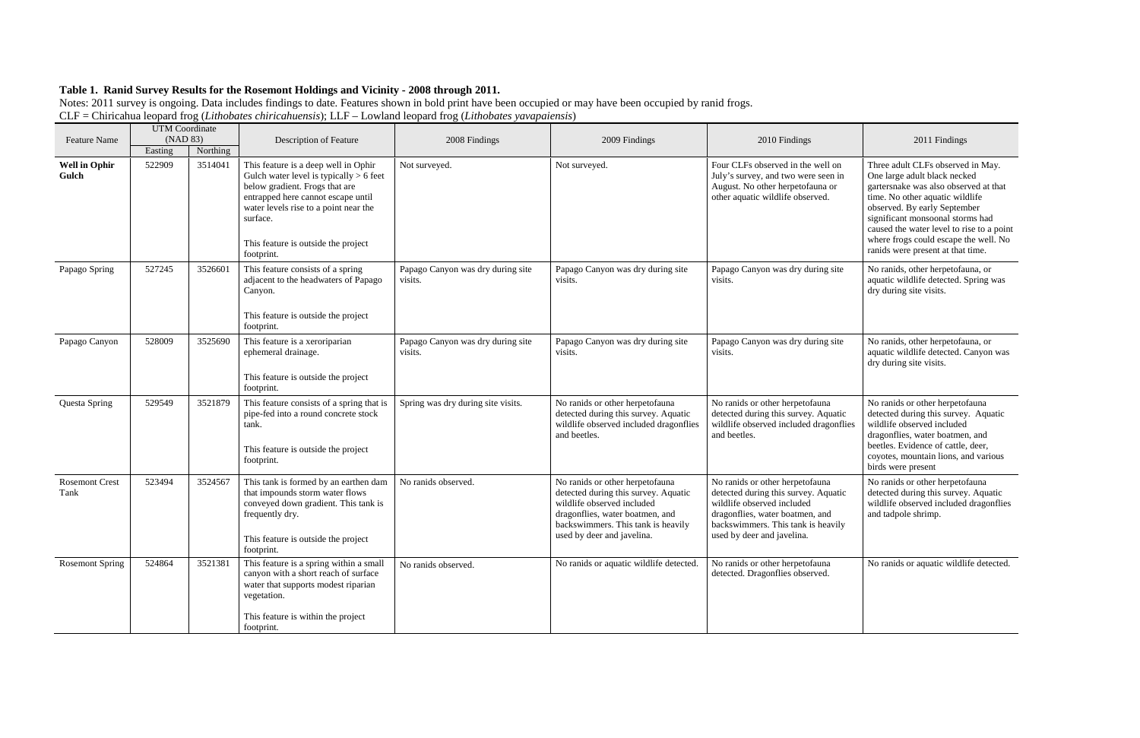|                               | <b>UTM</b> Coordinate<br>(NAD 83) |          |                                                                                                                                                                                                                                                                     |                                              | 2009 Findings                                                                                                                                                                                                |                                                                                                                                                                                                              | 2011 Findings                                                                                                                                                                                                                                                                                                                                |
|-------------------------------|-----------------------------------|----------|---------------------------------------------------------------------------------------------------------------------------------------------------------------------------------------------------------------------------------------------------------------------|----------------------------------------------|--------------------------------------------------------------------------------------------------------------------------------------------------------------------------------------------------------------|--------------------------------------------------------------------------------------------------------------------------------------------------------------------------------------------------------------|----------------------------------------------------------------------------------------------------------------------------------------------------------------------------------------------------------------------------------------------------------------------------------------------------------------------------------------------|
| <b>Feature Name</b>           | Easting                           | Northing | Description of Feature                                                                                                                                                                                                                                              | 2008 Findings                                |                                                                                                                                                                                                              | 2010 Findings                                                                                                                                                                                                |                                                                                                                                                                                                                                                                                                                                              |
| <b>Well in Ophir</b><br>Gulch | 522909                            | 3514041  | This feature is a deep well in Ophir<br>Gulch water level is typically $> 6$ feet<br>below gradient. Frogs that are<br>entrapped here cannot escape until<br>water levels rise to a point near the<br>surface.<br>This feature is outside the project<br>footprint. | Not surveyed.                                | Not surveyed.                                                                                                                                                                                                | Four CLFs observed in the well on<br>July's survey, and two were seen in<br>August. No other herpetofauna or<br>other aquatic wildlife observed.                                                             | Three adult CLFs observed in May.<br>One large adult black necked<br>gartersnake was also observed at that<br>time. No other aquatic wildlife<br>observed. By early September<br>significant monsoonal storms had<br>caused the water level to rise to a point<br>where frogs could escape the well. No<br>ranids were present at that time. |
| Papago Spring                 | 527245                            | 3526601  | This feature consists of a spring<br>adjacent to the headwaters of Papago<br>Canyon.<br>This feature is outside the project<br>footprint.                                                                                                                           | Papago Canyon was dry during site<br>visits. | Papago Canyon was dry during site<br>visits.                                                                                                                                                                 | Papago Canyon was dry during site<br>visits.                                                                                                                                                                 | No ranids, other herpetofauna, or<br>aquatic wildlife detected. Spring was<br>dry during site visits.                                                                                                                                                                                                                                        |
| Papago Canyon                 | 528009                            | 3525690  | This feature is a xeroriparian<br>ephemeral drainage.<br>This feature is outside the project<br>footprint.                                                                                                                                                          | Papago Canyon was dry during site<br>visits. | Papago Canyon was dry during site<br>visits.                                                                                                                                                                 | Papago Canyon was dry during site<br>visits.                                                                                                                                                                 | No ranids, other herpetofauna, or<br>aquatic wildlife detected. Canyon was<br>dry during site visits.                                                                                                                                                                                                                                        |
| Questa Spring                 | 529549                            | 3521879  | This feature consists of a spring that is<br>pipe-fed into a round concrete stock<br>tank.<br>This feature is outside the project<br>footprint.                                                                                                                     | Spring was dry during site visits.           | No ranids or other herpetofauna<br>detected during this survey. Aquatic<br>wildlife observed included dragonflies<br>and beetles.                                                                            | No ranids or other herpetofauna<br>detected during this survey. Aquatic<br>wildlife observed included dragonflies<br>and beetles.                                                                            | No ranids or other herpetofauna<br>detected during this survey. Aquatic<br>wildlife observed included<br>dragonflies, water boatmen, and<br>beetles. Evidence of cattle, deer,<br>coyotes, mountain lions, and various<br>birds were present                                                                                                 |
| <b>Rosemont Crest</b><br>Tank | 523494                            | 3524567  | This tank is formed by an earthen dam<br>that impounds storm water flows<br>conveyed down gradient. This tank is<br>frequently dry.<br>This feature is outside the project<br>footprint.                                                                            | No ranids observed.                          | No ranids or other herpetofauna<br>detected during this survey. Aquatic<br>wildlife observed included<br>dragonflies, water boatmen, and<br>backswimmers. This tank is heavily<br>used by deer and javelina. | No ranids or other herpetofauna<br>detected during this survey. Aquatic<br>wildlife observed included<br>dragonflies, water boatmen, and<br>backswimmers. This tank is heavily<br>used by deer and javelina. | No ranids or other herpetofauna<br>detected during this survey. Aquatic<br>wildlife observed included dragonflies<br>and tadpole shrimp.                                                                                                                                                                                                     |
| <b>Rosemont Spring</b>        | 524864                            | 3521381  | This feature is a spring within a small<br>canyon with a short reach of surface<br>water that supports modest riparian<br>vegetation.<br>This feature is within the project<br>footprint.                                                                           | No ranids observed.                          | No ranids or aquatic wildlife detected.                                                                                                                                                                      | No ranids or other herpetofauna<br>detected. Dragonflies observed.                                                                                                                                           | No ranids or aquatic wildlife detected.                                                                                                                                                                                                                                                                                                      |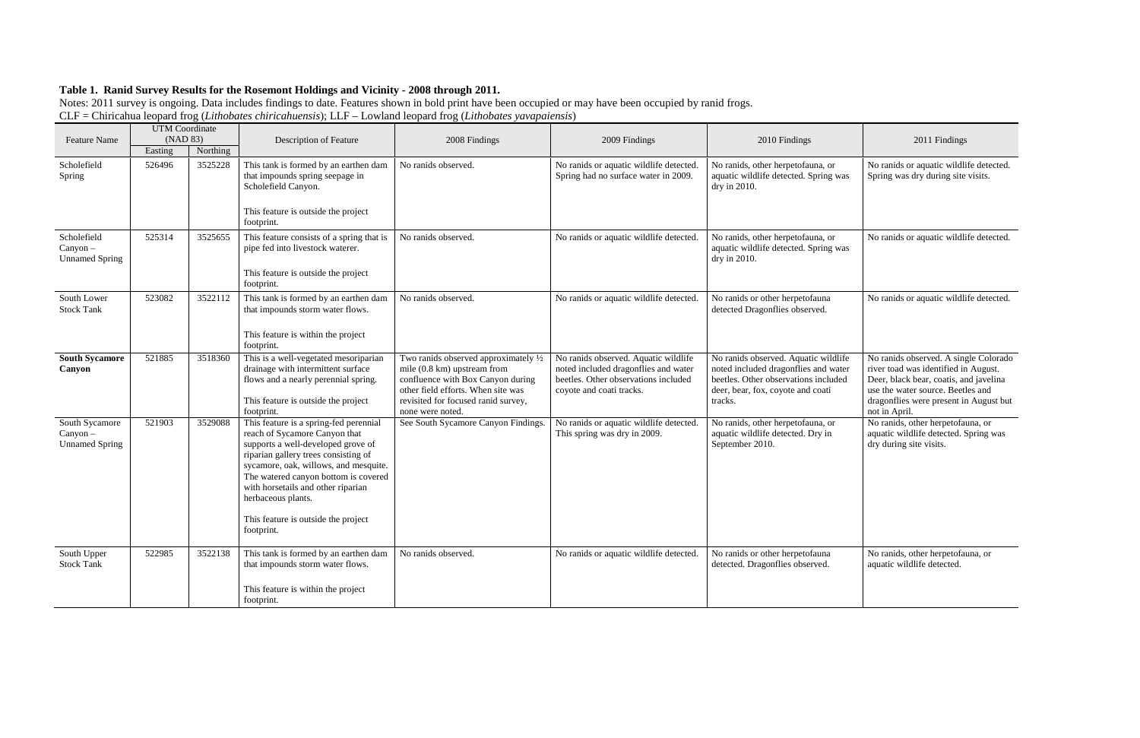| <b>Feature Name</b>                                   | <b>UTM</b> Coordinate<br>(NAD 83) |          | Description of Feature                                                                                                                                                                                                                                                                                                                                  | 2008 Findings                                                                                                                                                                                              | 2009 Findings                                                                                                                                    | 2010 Findings                                                                                                                                                        | 2011 Findings                                                                                                                                                                                                           |
|-------------------------------------------------------|-----------------------------------|----------|---------------------------------------------------------------------------------------------------------------------------------------------------------------------------------------------------------------------------------------------------------------------------------------------------------------------------------------------------------|------------------------------------------------------------------------------------------------------------------------------------------------------------------------------------------------------------|--------------------------------------------------------------------------------------------------------------------------------------------------|----------------------------------------------------------------------------------------------------------------------------------------------------------------------|-------------------------------------------------------------------------------------------------------------------------------------------------------------------------------------------------------------------------|
|                                                       | Easting                           | Northing |                                                                                                                                                                                                                                                                                                                                                         |                                                                                                                                                                                                            |                                                                                                                                                  |                                                                                                                                                                      |                                                                                                                                                                                                                         |
| Scholefield<br>Spring                                 | 526496                            | 3525228  | This tank is formed by an earthen dam<br>that impounds spring seepage in<br>Scholefield Canyon.<br>This feature is outside the project<br>footprint.                                                                                                                                                                                                    | No ranids observed.                                                                                                                                                                                        | No ranids or aquatic wildlife detected.<br>Spring had no surface water in 2009.                                                                  | No ranids, other herpetofauna, or<br>aquatic wildlife detected. Spring was<br>dry in 2010.                                                                           | No ranids or aquatic wildlife detected.<br>Spring was dry during site visits.                                                                                                                                           |
| Scholefield<br>Canyon-<br><b>Unnamed Spring</b>       | 525314                            | 3525655  | This feature consists of a spring that is<br>pipe fed into livestock waterer.<br>This feature is outside the project<br>footprint.                                                                                                                                                                                                                      | No ranids observed.                                                                                                                                                                                        | No ranids or aquatic wildlife detected.                                                                                                          | No ranids, other herpetofauna, or<br>aquatic wildlife detected. Spring was<br>dry in 2010.                                                                           | No ranids or aquatic wildlife detected.                                                                                                                                                                                 |
| South Lower<br><b>Stock Tank</b>                      | 523082                            | 3522112  | This tank is formed by an earthen dam<br>that impounds storm water flows.<br>This feature is within the project<br>footprint.                                                                                                                                                                                                                           | No ranids observed.                                                                                                                                                                                        | No ranids or aquatic wildlife detected.                                                                                                          | No ranids or other herpetofauna<br>detected Dragonflies observed.                                                                                                    | No ranids or aquatic wildlife detected.                                                                                                                                                                                 |
| <b>South Sycamore</b><br>Canyon                       | 521885                            | 3518360  | This is a well-vegetated mesoriparian<br>drainage with intermittent surface<br>flows and a nearly perennial spring.<br>This feature is outside the project<br>footprint.                                                                                                                                                                                | Two ranids observed approximately 1/2<br>mile (0.8 km) upstream from<br>confluence with Box Canyon during<br>other field efforts. When site was<br>revisited for focused ranid survey,<br>none were noted. | No ranids observed. Aquatic wildlife<br>noted included dragonflies and water<br>beetles. Other observations included<br>coyote and coati tracks. | No ranids observed. Aquatic wildlife<br>noted included dragonflies and water<br>beetles. Other observations included<br>deer, bear, fox, coyote and coati<br>tracks. | No ranids observed. A single Colorado<br>river toad was identified in August.<br>Deer, black bear, coatis, and javelina<br>use the water source. Beetles and<br>dragonflies were present in August but<br>not in April. |
| South Sycamore<br>$Canyon -$<br><b>Unnamed Spring</b> | 521903                            | 3529088  | This feature is a spring-fed perennial<br>reach of Sycamore Canyon that<br>supports a well-developed grove of<br>riparian gallery trees consisting of<br>sycamore, oak, willows, and mesquite.<br>The watered canyon bottom is covered<br>with horsetails and other riparian<br>herbaceous plants.<br>This feature is outside the project<br>footprint. | See South Sycamore Canyon Findings.                                                                                                                                                                        | No ranids or aquatic wildlife detected.<br>This spring was dry in 2009.                                                                          | No ranids, other herpetofauna, or<br>aquatic wildlife detected. Dry in<br>September 2010.                                                                            | No ranids, other herpetofauna, or<br>aquatic wildlife detected. Spring was<br>dry during site visits.                                                                                                                   |
| South Upper<br><b>Stock Tank</b>                      | 522985                            | 3522138  | This tank is formed by an earthen dam<br>that impounds storm water flows.<br>This feature is within the project<br>footprint.                                                                                                                                                                                                                           | No ranids observed.                                                                                                                                                                                        | No ranids or aquatic wildlife detected.                                                                                                          | No ranids or other herpetofauna<br>detected. Dragonflies observed.                                                                                                   | No ranids, other herpetofauna, or<br>aquatic wildlife detected.                                                                                                                                                         |